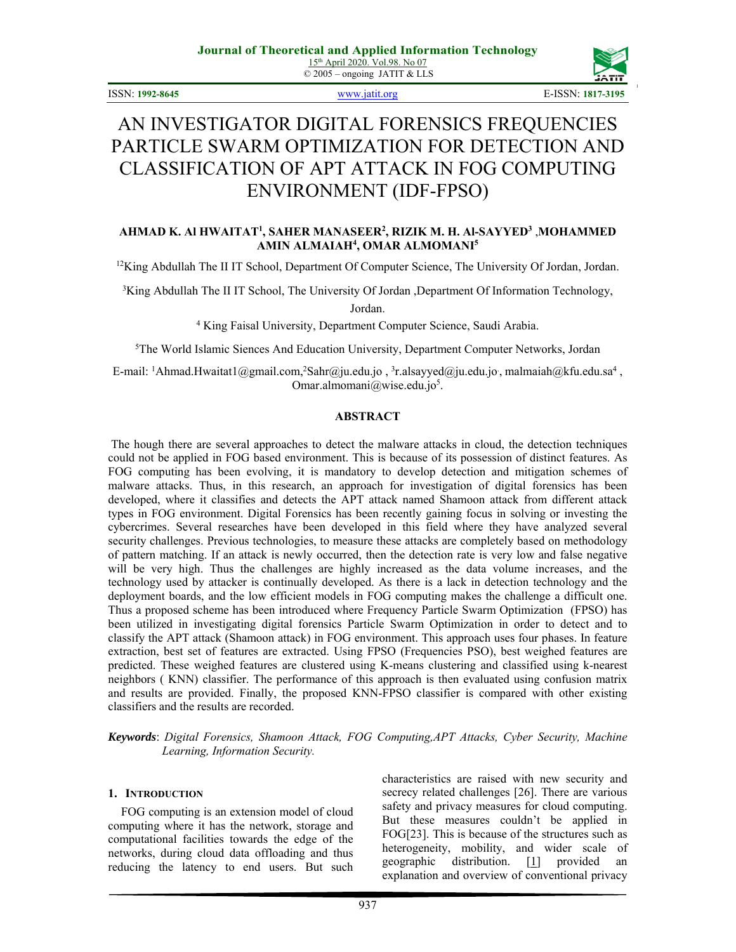

# AN INVESTIGATOR DIGITAL FORENSICS FREQUENCIES PARTICLE SWARM OPTIMIZATION FOR DETECTION AND CLASSIFICATION OF APT ATTACK IN FOG COMPUTING ENVIRONMENT (IDF-FPSO)

## **AHMAD K. Al HWAITAT1 , SAHER MANASEER2 , RIZIK M. H. Al-SAYYED3** ,**MOHAMMED AMIN ALMAIAH4 , OMAR ALMOMANI5**

<sup>12</sup>King Abdullah The II IT School, Department Of Computer Science, The University Of Jordan, Jordan.

<sup>3</sup>King Abdullah The II IT School, The University Of Jordan ,Department Of Information Technology,

Jordan.

4 King Faisal University, Department Computer Science, Saudi Arabia.

5 The World Islamic Siences And Education University, Department Computer Networks, Jordan

E-mail: <sup>1</sup>Ahmad.Hwaitat1@gmail.com,<sup>2</sup>Sahr@ju.edu.jo, <sup>3</sup>r.alsayyed@ju.edu.jo, malmaiah@kfu.edu.sa<sup>4</sup>, Omar.almomani@wise.edu.jo<sup>5</sup>.

## **ABSTRACT**

 The hough there are several approaches to detect the malware attacks in cloud, the detection techniques could not be applied in FOG based environment. This is because of its possession of distinct features. As FOG computing has been evolving, it is mandatory to develop detection and mitigation schemes of malware attacks. Thus, in this research, an approach for investigation of digital forensics has been developed, where it classifies and detects the APT attack named Shamoon attack from different attack types in FOG environment. Digital Forensics has been recently gaining focus in solving or investing the cybercrimes. Several researches have been developed in this field where they have analyzed several security challenges. Previous technologies, to measure these attacks are completely based on methodology of pattern matching. If an attack is newly occurred, then the detection rate is very low and false negative will be very high. Thus the challenges are highly increased as the data volume increases, and the technology used by attacker is continually developed. As there is a lack in detection technology and the deployment boards, and the low efficient models in FOG computing makes the challenge a difficult one. Thus a proposed scheme has been introduced where Frequency Particle Swarm Optimization (FPSO) has been utilized in investigating digital forensics Particle Swarm Optimization in order to detect and to classify the APT attack (Shamoon attack) in FOG environment. This approach uses four phases. In feature extraction, best set of features are extracted. Using FPSO (Frequencies PSO), best weighed features are predicted. These weighed features are clustered using K-means clustering and classified using k-nearest neighbors ( KNN) classifier. The performance of this approach is then evaluated using confusion matrix and results are provided. Finally, the proposed KNN-FPSO classifier is compared with other existing classifiers and the results are recorded.

*Keywords*: *Digital Forensics, Shamoon Attack, FOG Computing,APT Attacks, Cyber Security, Machine Learning, Information Security.*

#### **1. INTRODUCTION**

FOG computing is an extension model of cloud computing where it has the network, storage and computational facilities towards the edge of the networks, during cloud data offloading and thus reducing the latency to end users. But such characteristics are raised with new security and secrecy related challenges [26]. There are various safety and privacy measures for cloud computing. But these measures couldn't be applied in FOG[23]. This is because of the structures such as heterogeneity, mobility, and wider scale of geographic distribution.  $[1]$  provided an explanation and overview of conventional privacy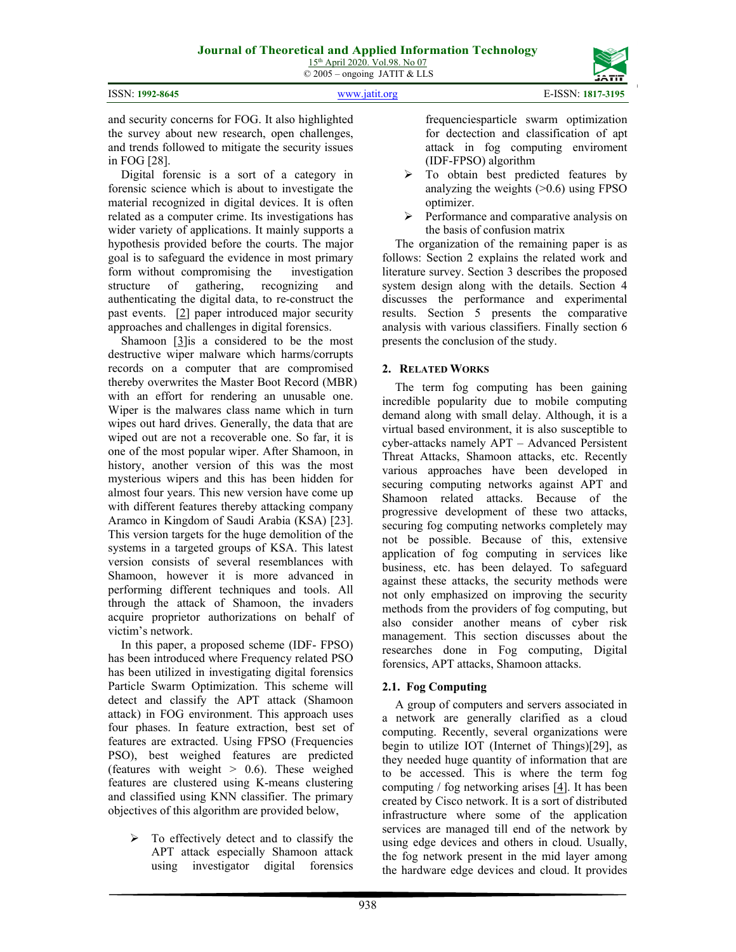and security concerns for FOG. It also highlighted the survey about new research, open challenges, and trends followed to mitigate the security issues in FOG [28].

Digital forensic is a sort of a category in forensic science which is about to investigate the material recognized in digital devices. It is often related as a computer crime. Its investigations has wider variety of applications. It mainly supports a hypothesis provided before the courts. The major goal is to safeguard the evidence in most primary form without compromising the investigation<br>structure of gathering, recognizing and structure of gathering, recognizing and authenticating the digital data, to re-construct the past events. [2] paper introduced major security approaches and challenges in digital forensics.

Shamoon [3] is a considered to be the most destructive wiper malware which harms/corrupts records on a computer that are compromised thereby overwrites the Master Boot Record (MBR) with an effort for rendering an unusable one. Wiper is the malwares class name which in turn wipes out hard drives. Generally, the data that are wiped out are not a recoverable one. So far, it is one of the most popular wiper. After Shamoon, in history, another version of this was the most mysterious wipers and this has been hidden for almost four years. This new version have come up with different features thereby attacking company Aramco in Kingdom of Saudi Arabia (KSA) [23]. This version targets for the huge demolition of the systems in a targeted groups of KSA. This latest version consists of several resemblances with Shamoon, however it is more advanced in performing different techniques and tools. All through the attack of Shamoon, the invaders acquire proprietor authorizations on behalf of victim's network.

In this paper, a proposed scheme (IDF- FPSO) has been introduced where Frequency related PSO has been utilized in investigating digital forensics Particle Swarm Optimization. This scheme will detect and classify the APT attack (Shamoon attack) in FOG environment. This approach uses four phases. In feature extraction, best set of features are extracted. Using FPSO (Frequencies PSO), best weighed features are predicted (features with weight  $> 0.6$ ). These weighed features are clustered using K-means clustering and classified using KNN classifier. The primary objectives of this algorithm are provided below,

 $\triangleright$  To effectively detect and to classify the APT attack especially Shamoon attack using investigator digital forensics

frequenciesparticle swarm optimization for dectection and classification of apt attack in fog computing enviroment (IDF-FPSO) algorithm

- $\triangleright$  To obtain best predicted features by analyzing the weights  $(>0.6)$  using FPSO optimizer.
- $\triangleright$  Performance and comparative analysis on the basis of confusion matrix

The organization of the remaining paper is as follows: Section 2 explains the related work and literature survey. Section 3 describes the proposed system design along with the details. Section 4 discusses the performance and experimental results. Section 5 presents the comparative analysis with various classifiers. Finally section 6 presents the conclusion of the study.

## **2. RELATED WORKS**

The term fog computing has been gaining incredible popularity due to mobile computing demand along with small delay. Although, it is a virtual based environment, it is also susceptible to cyber-attacks namely APT – Advanced Persistent Threat Attacks, Shamoon attacks, etc. Recently various approaches have been developed in securing computing networks against APT and Shamoon related attacks. Because of the progressive development of these two attacks, securing fog computing networks completely may not be possible. Because of this, extensive application of fog computing in services like business, etc. has been delayed. To safeguard against these attacks, the security methods were not only emphasized on improving the security methods from the providers of fog computing, but also consider another means of cyber risk management. This section discusses about the researches done in Fog computing, Digital forensics, APT attacks, Shamoon attacks.

## **2.1. Fog Computing**

A group of computers and servers associated in a network are generally clarified as a cloud computing. Recently, several organizations were begin to utilize IOT (Internet of Things)[29], as they needed huge quantity of information that are to be accessed. This is where the term fog computing / fog networking arises [4]. It has been created by Cisco network. It is a sort of distributed infrastructure where some of the application services are managed till end of the network by using edge devices and others in cloud. Usually, the fog network present in the mid layer among the hardware edge devices and cloud. It provides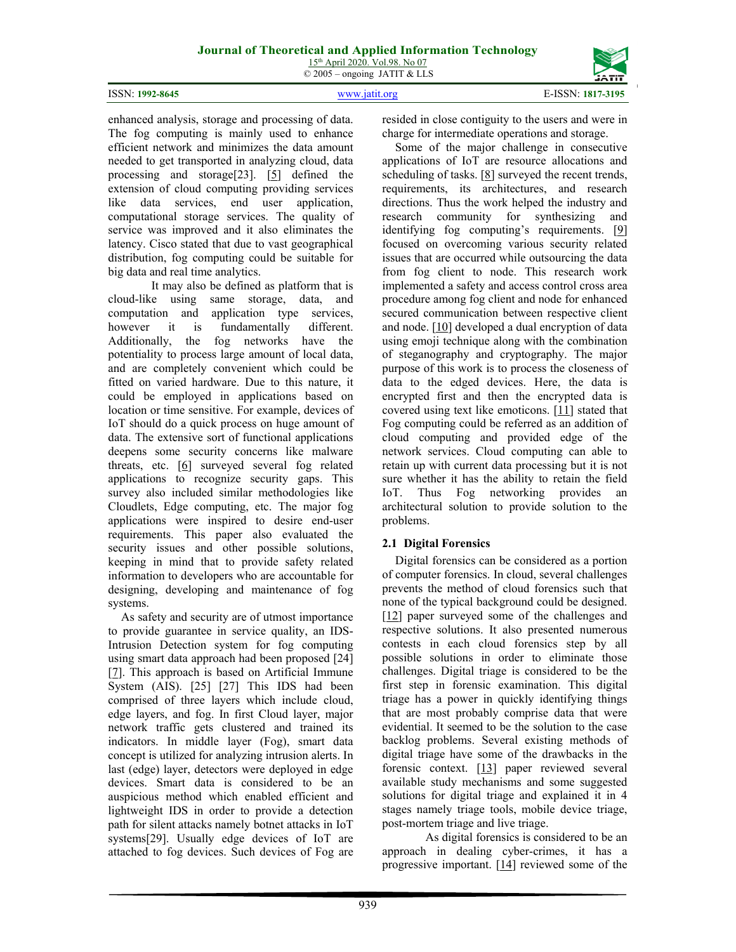ISSN: **1992-8645** www.jatit.org E-ISSN: **1817-3195**



enhanced analysis, storage and processing of data. The fog computing is mainly used to enhance efficient network and minimizes the data amount needed to get transported in analyzing cloud, data processing and storage[23]. [5] defined the extension of cloud computing providing services like data services, end user application, computational storage services. The quality of service was improved and it also eliminates the latency. Cisco stated that due to vast geographical distribution, fog computing could be suitable for big data and real time analytics.

 It may also be defined as platform that is cloud-like using same storage, data, and computation and application type services, however it is fundamentally different. Additionally, the fog networks have the potentiality to process large amount of local data, and are completely convenient which could be fitted on varied hardware. Due to this nature, it could be employed in applications based on location or time sensitive. For example, devices of IoT should do a quick process on huge amount of data. The extensive sort of functional applications deepens some security concerns like malware threats, etc.  $[6]$  surveyed several fog related applications to recognize security gaps. This survey also included similar methodologies like Cloudlets, Edge computing, etc. The major fog applications were inspired to desire end-user requirements. This paper also evaluated the security issues and other possible solutions, keeping in mind that to provide safety related information to developers who are accountable for designing, developing and maintenance of fog systems.

As safety and security are of utmost importance to provide guarantee in service quality, an IDS-Intrusion Detection system for fog computing using smart data approach had been proposed [24] [7]. This approach is based on Artificial Immune System (AIS). [25] [27] This IDS had been comprised of three layers which include cloud, edge layers, and fog. In first Cloud layer, major network traffic gets clustered and trained its indicators. In middle layer (Fog), smart data concept is utilized for analyzing intrusion alerts. In last (edge) layer, detectors were deployed in edge devices. Smart data is considered to be an auspicious method which enabled efficient and lightweight IDS in order to provide a detection path for silent attacks namely botnet attacks in IoT systems[29]. Usually edge devices of IoT are attached to fog devices. Such devices of Fog are

resided in close contiguity to the users and were in charge for intermediate operations and storage.

Some of the major challenge in consecutive applications of IoT are resource allocations and scheduling of tasks. [8] surveyed the recent trends, requirements, its architectures, and research directions. Thus the work helped the industry and research community for synthesizing and identifying fog computing's requirements. [9] focused on overcoming various security related issues that are occurred while outsourcing the data from fog client to node. This research work implemented a safety and access control cross area procedure among fog client and node for enhanced secured communication between respective client and node.  $[10]$  developed a dual encryption of data using emoji technique along with the combination of steganography and cryptography. The major purpose of this work is to process the closeness of data to the edged devices. Here, the data is encrypted first and then the encrypted data is covered using text like emoticons. [11] stated that Fog computing could be referred as an addition of cloud computing and provided edge of the network services. Cloud computing can able to retain up with current data processing but it is not sure whether it has the ability to retain the field IoT. Thus Fog networking provides an architectural solution to provide solution to the problems.

## **2.1 Digital Forensics**

Digital forensics can be considered as a portion of computer forensics. In cloud, several challenges prevents the method of cloud forensics such that none of the typical background could be designed. [12] paper surveyed some of the challenges and respective solutions. It also presented numerous contests in each cloud forensics step by all possible solutions in order to eliminate those challenges. Digital triage is considered to be the first step in forensic examination. This digital triage has a power in quickly identifying things that are most probably comprise data that were evidential. It seemed to be the solution to the case backlog problems. Several existing methods of digital triage have some of the drawbacks in the forensic context. [13] paper reviewed several available study mechanisms and some suggested solutions for digital triage and explained it in 4 stages namely triage tools, mobile device triage, post-mortem triage and live triage.

 As digital forensics is considered to be an approach in dealing cyber-crimes, it has a progressive important.  $[14]$  reviewed some of the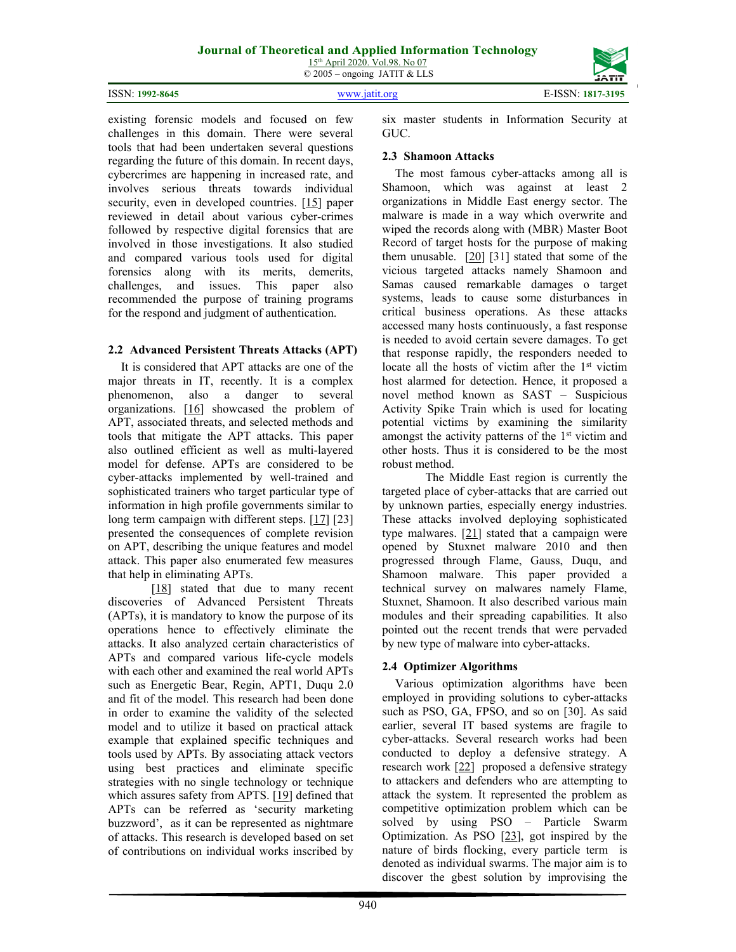## **Journal of Theoretical and Applied Information Technology**

15th April 2020. Vol.98. No 07 © 2005 – ongoing JATIT & LLS

| <b>ISSN: 1992-8645</b> |
|------------------------|
|                        |



existing forensic models and focused on few challenges in this domain. There were several tools that had been undertaken several questions regarding the future of this domain. In recent days, cybercrimes are happening in increased rate, and involves serious threats towards individual security, even in developed countries. [15] paper reviewed in detail about various cyber-crimes followed by respective digital forensics that are involved in those investigations. It also studied and compared various tools used for digital forensics along with its merits, demerits, challenges, and issues. This paper also recommended the purpose of training programs for the respond and judgment of authentication.

## **2.2 Advanced Persistent Threats Attacks (APT)**

It is considered that APT attacks are one of the major threats in IT, recently. It is a complex phenomenon, also a danger to several organizations. [16] showcased the problem of APT, associated threats, and selected methods and tools that mitigate the APT attacks. This paper also outlined efficient as well as multi-layered model for defense. APTs are considered to be cyber-attacks implemented by well-trained and sophisticated trainers who target particular type of information in high profile governments similar to long term campaign with different steps. [17] [23] presented the consequences of complete revision on APT, describing the unique features and model attack. This paper also enumerated few measures that help in eliminating APTs.

[18] stated that due to many recent discoveries of Advanced Persistent Threats (APTs), it is mandatory to know the purpose of its operations hence to effectively eliminate the attacks. It also analyzed certain characteristics of APTs and compared various life-cycle models with each other and examined the real world APTs such as Energetic Bear, Regin, APT1, Duqu 2.0 and fit of the model. This research had been done in order to examine the validity of the selected model and to utilize it based on practical attack example that explained specific techniques and tools used by APTs. By associating attack vectors using best practices and eliminate specific strategies with no single technology or technique which assures safety from APTS. [19] defined that APTs can be referred as 'security marketing buzzword', as it can be represented as nightmare of attacks. This research is developed based on set of contributions on individual works inscribed by

six master students in Information Security at GUC.

## **2.3 Shamoon Attacks**

The most famous cyber-attacks among all is Shamoon, which was against at least 2 organizations in Middle East energy sector. The malware is made in a way which overwrite and wiped the records along with (MBR) Master Boot Record of target hosts for the purpose of making them unusable. [20] [31] stated that some of the vicious targeted attacks namely Shamoon and Samas caused remarkable damages o target systems, leads to cause some disturbances in critical business operations. As these attacks accessed many hosts continuously, a fast response is needed to avoid certain severe damages. To get that response rapidly, the responders needed to locate all the hosts of victim after the 1<sup>st</sup> victim host alarmed for detection. Hence, it proposed a novel method known as SAST – Suspicious Activity Spike Train which is used for locating potential victims by examining the similarity amongst the activity patterns of the  $1<sup>st</sup>$  victim and other hosts. Thus it is considered to be the most robust method.

 The Middle East region is currently the targeted place of cyber-attacks that are carried out by unknown parties, especially energy industries. These attacks involved deploying sophisticated type malwares.  $[21]$  stated that a campaign were opened by Stuxnet malware 2010 and then progressed through Flame, Gauss, Duqu, and Shamoon malware. This paper provided a technical survey on malwares namely Flame, Stuxnet, Shamoon. It also described various main modules and their spreading capabilities. It also pointed out the recent trends that were pervaded by new type of malware into cyber-attacks.

## **2.4 Optimizer Algorithms**

Various optimization algorithms have been employed in providing solutions to cyber-attacks such as PSO, GA, FPSO, and so on [30]. As said earlier, several IT based systems are fragile to cyber-attacks. Several research works had been conducted to deploy a defensive strategy. A research work [22] proposed a defensive strategy to attackers and defenders who are attempting to attack the system. It represented the problem as competitive optimization problem which can be solved by using PSO – Particle Swarm Optimization. As PSO [23], got inspired by the nature of birds flocking, every particle term is denoted as individual swarms. The major aim is to discover the gbest solution by improvising the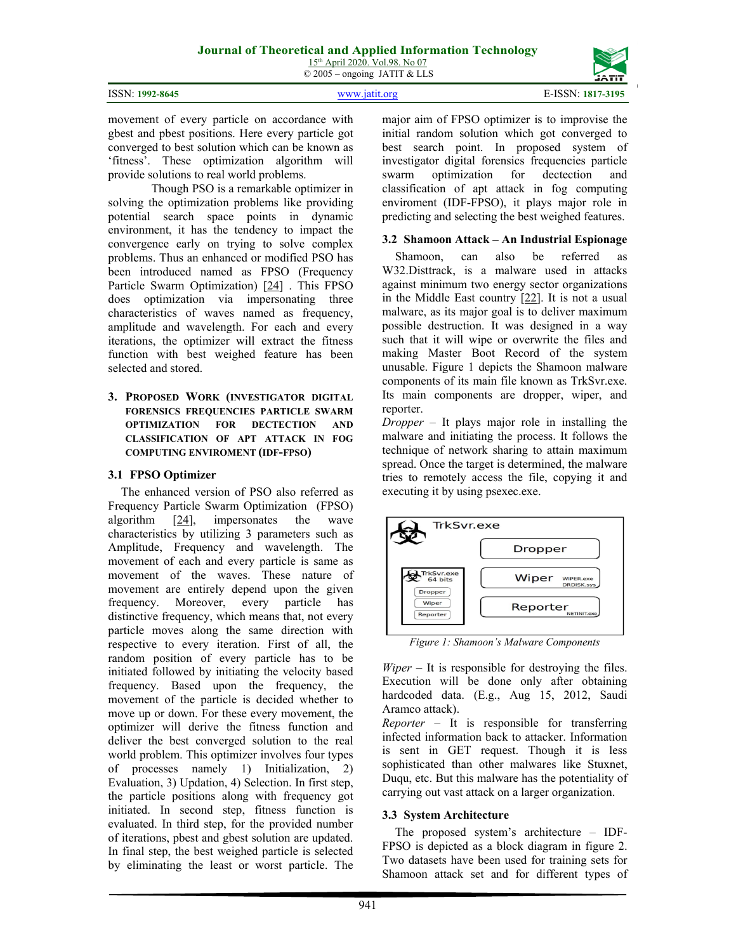| ISSN: 1992-8645 |  |
|-----------------|--|
|-----------------|--|

ISSN: **1992-8645** www.jatit.org E-ISSN: **1817-3195**

941

major aim of FPSO optimizer is to improvise the initial random solution which got converged to best search point. In proposed system of investigator digital forensics frequencies particle swarm optimization for dectection and classification of apt attack in fog computing enviroment (IDF-FPSO), it plays major role in predicting and selecting the best weighed features.

## **3.2 Shamoon Attack – An Industrial Espionage**

Shamoon, can also be referred as W32.Disttrack, is a malware used in attacks against minimum two energy sector organizations in the Middle East country  $[22]$ . It is not a usual malware, as its major goal is to deliver maximum possible destruction. It was designed in a way such that it will wipe or overwrite the files and making Master Boot Record of the system unusable. Figure 1 depicts the Shamoon malware components of its main file known as TrkSvr.exe. Its main components are dropper, wiper, and reporter.

*Dropper* – It plays major role in installing the malware and initiating the process. It follows the technique of network sharing to attain maximum spread. Once the target is determined, the malware tries to remotely access the file, copying it and executing it by using psexec.exe.



TrkSvr.exe

*Figure 1: Shamoon's Malware Components* 

Dropper

*Wiper –* It is responsible for destroying the files. Execution will be done only after obtaining hardcoded data. (E.g., Aug 15, 2012, Saudi Aramco attack).

*Reporter –* It is responsible for transferring infected information back to attacker. Information is sent in GET request. Though it is less sophisticated than other malwares like Stuxnet, Duqu, etc. But this malware has the potentiality of carrying out vast attack on a larger organization.

## **3.3 System Architecture**

The proposed system's architecture – IDF-FPSO is depicted as a block diagram in figure 2. Two datasets have been used for training sets for Shamoon attack set and for different types of

## **3. PROPOSED WORK (INVESTIGATOR DIGITAL FORENSICS FREQUENCIES PARTICLE SWARM OPTIMIZATION FOR DECTECTION AND CLASSIFICATION OF APT ATTACK IN FOG COMPUTING ENVIROMENT (IDF-FPSO)**

movement of every particle on accordance with gbest and pbest positions. Here every particle got converged to best solution which can be known as 'fitness'. These optimization algorithm will

solving the optimization problems like providing potential search space points in dynamic environment, it has the tendency to impact the convergence early on trying to solve complex problems. Thus an enhanced or modified PSO has been introduced named as FPSO (Frequency Particle Swarm Optimization) [24] . This FPSO does optimization via impersonating three characteristics of waves named as frequency, amplitude and wavelength. For each and every iterations, the optimizer will extract the fitness function with best weighed feature has been

Though PSO is a remarkable optimizer in

provide solutions to real world problems.

## **3.1 FPSO Optimizer**

selected and stored.

The enhanced version of PSO also referred as Frequency Particle Swarm Optimization (FPSO) algorithm [24], impersonates the wave characteristics by utilizing 3 parameters such as Amplitude, Frequency and wavelength. The movement of each and every particle is same as movement of the waves. These nature of movement are entirely depend upon the given frequency. Moreover, every particle has distinctive frequency, which means that, not every particle moves along the same direction with respective to every iteration. First of all, the random position of every particle has to be initiated followed by initiating the velocity based frequency. Based upon the frequency, the movement of the particle is decided whether to move up or down. For these every movement, the optimizer will derive the fitness function and deliver the best converged solution to the real world problem. This optimizer involves four types of processes namely 1) Initialization, 2) Evaluation, 3) Updation, 4) Selection. In first step, the particle positions along with frequency got initiated. In second step, fitness function is evaluated. In third step, for the provided number of iterations, pbest and gbest solution are updated. In final step, the best weighed particle is selected by eliminating the least or worst particle. The

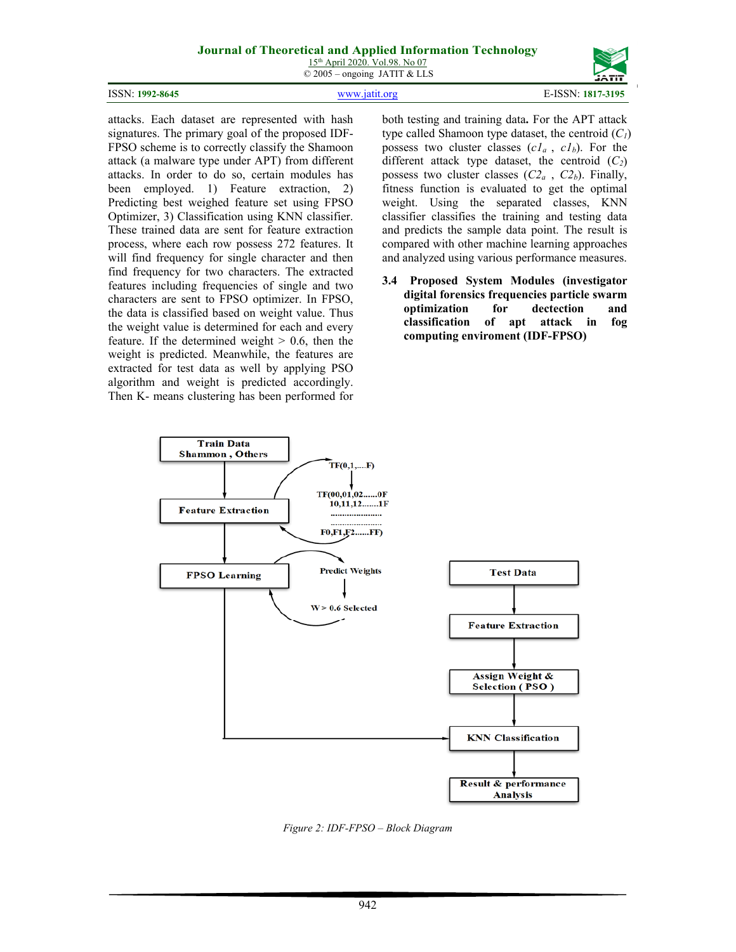## **Journal of Theoretical and Applied Information Technology**

15th April 2020. Vol.98. No 07 © 2005 – ongoing JATIT & LLS





attacks. Each dataset are represented with hash signatures. The primary goal of the proposed IDF-FPSO scheme is to correctly classify the Shamoon attack (a malware type under APT) from different attacks. In order to do so, certain modules has been employed. 1) Feature extraction, 2) Predicting best weighed feature set using FPSO Optimizer, 3) Classification using KNN classifier. These trained data are sent for feature extraction process, where each row possess 272 features. It will find frequency for single character and then find frequency for two characters. The extracted features including frequencies of single and two characters are sent to FPSO optimizer. In FPSO, the data is classified based on weight value. Thus the weight value is determined for each and every feature. If the determined weight  $> 0.6$ , then the weight is predicted. Meanwhile, the features are extracted for test data as well by applying PSO algorithm and weight is predicted accordingly. Then K- means clustering has been performed for

both testing and training data**.** For the APT attack type called Shamoon type dataset, the centroid (*C1*) possess two cluster classes  $(c_1a, c_2b)$ . For the different attack type dataset, the centroid  $(C_2)$ possess two cluster classes  $(C2_a, C2_b)$ . Finally, fitness function is evaluated to get the optimal weight. Using the separated classes, KNN classifier classifies the training and testing data and predicts the sample data point. The result is compared with other machine learning approaches and analyzed using various performance measures.

**3.4 Proposed System Modules (investigator digital forensics frequencies particle swarm optimization for dectection and classification of apt attack in fog computing enviroment (IDF-FPSO)** 



*Figure 2: IDF-FPSO – Block Diagram*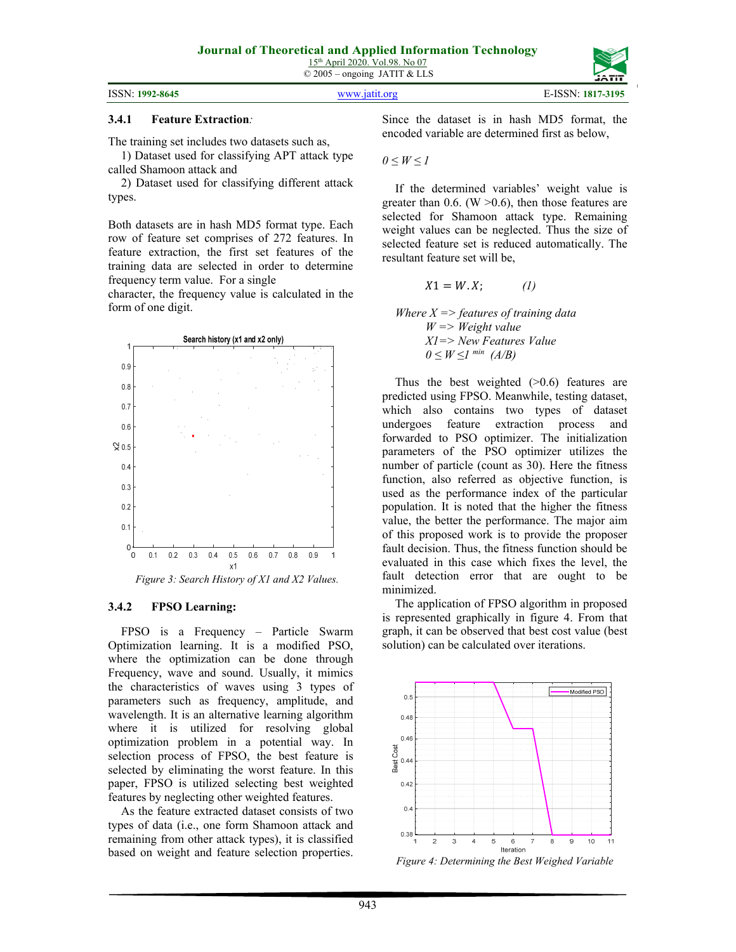## **3.4.1 Feature Extraction***:*

The training set includes two datasets such as,

1) Dataset used for classifying APT attack type called Shamoon attack and

2) Dataset used for classifying different attack types.

Both datasets are in hash MD5 format type. Each row of feature set comprises of 272 features. In feature extraction, the first set features of the training data are selected in order to determine frequency term value. For a single

character, the frequency value is calculated in the form of one digit.



*Figure 3: Search History of X1 and X2 Values.* 

## **3.4.2 FPSO Learning:**

FPSO is a Frequency – Particle Swarm Optimization learning. It is a modified PSO, where the optimization can be done through Frequency, wave and sound. Usually, it mimics the characteristics of waves using 3 types of parameters such as frequency, amplitude, and wavelength. It is an alternative learning algorithm where it is utilized for resolving global optimization problem in a potential way. In selection process of FPSO, the best feature is selected by eliminating the worst feature. In this paper, FPSO is utilized selecting best weighted features by neglecting other weighted features.

As the feature extracted dataset consists of two types of data (i.e., one form Shamoon attack and remaining from other attack types), it is classified based on weight and feature selection properties. Since the dataset is in hash MD5 format, the encoded variable are determined first as below,

 $0 \leq W$  ≤ 1

If the determined variables' weight value is greater than 0.6. (W  $>0.6$ ), then those features are selected for Shamoon attack type. Remaining weight values can be neglected. Thus the size of selected feature set is reduced automatically. The resultant feature set will be,

$$
X1 = W.X; \qquad (1)
$$

*Where X => features of training data W => Weight value X1=> New Features Value*   $0 \leq W \leq I$ <sup>*min</sup> (A/B)*</sup>

Thus the best weighted  $(>0.6)$  features are predicted using FPSO. Meanwhile, testing dataset, which also contains two types of dataset undergoes feature extraction process and forwarded to PSO optimizer. The initialization parameters of the PSO optimizer utilizes the number of particle (count as 30). Here the fitness function, also referred as objective function, is used as the performance index of the particular population. It is noted that the higher the fitness value, the better the performance. The major aim of this proposed work is to provide the proposer fault decision. Thus, the fitness function should be evaluated in this case which fixes the level, the fault detection error that are ought to be minimized.

The application of FPSO algorithm in proposed is represented graphically in figure 4. From that graph, it can be observed that best cost value (best solution) can be calculated over iterations.



*Figure 4: Determining the Best Weighed Variable*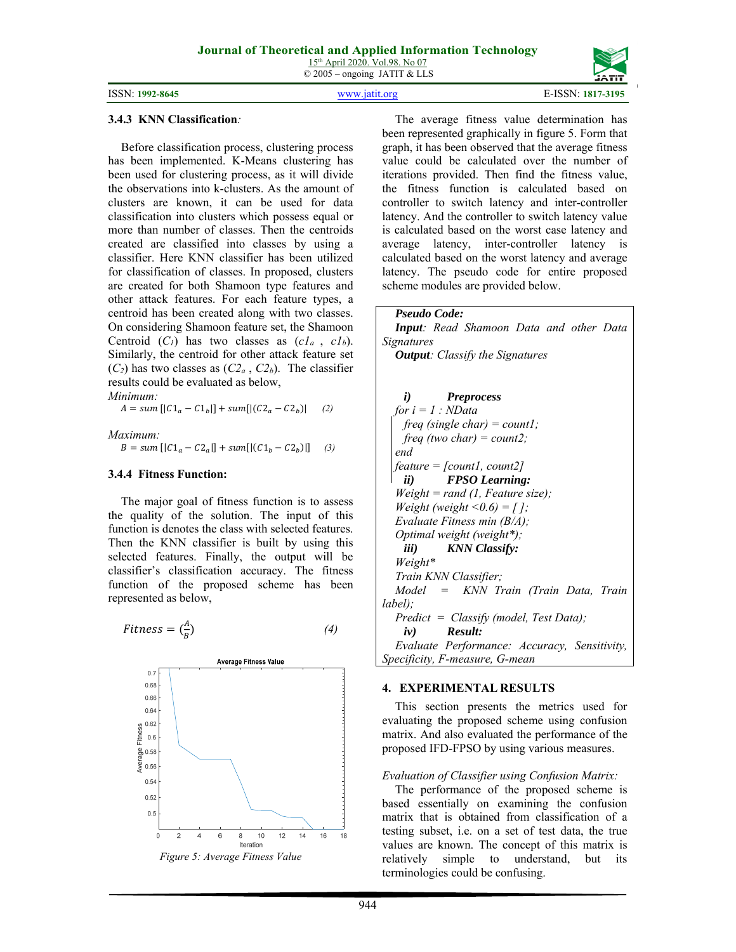© 2005 – ongoing JATIT & LLS



### **3.4.3 KNN Classification***:*

Before classification process, clustering process has been implemented. K-Means clustering has been used for clustering process, as it will divide the observations into k-clusters. As the amount of clusters are known, it can be used for data classification into clusters which possess equal or more than number of classes. Then the centroids created are classified into classes by using a classifier. Here KNN classifier has been utilized for classification of classes. In proposed, clusters are created for both Shamoon type features and other attack features. For each feature types, a centroid has been created along with two classes. On considering Shamoon feature set, the Shamoon Centroid  $(C_1)$  has two classes as  $(cl_a, cl_b)$ . Similarly, the centroid for other attack feature set  $(C_2)$  has two classes as  $(C_4, C_2)$ . The classifier results could be evaluated as below, *Minimum:* 

 $A = sum \left[ |C_1_a - C_1_b| \right] + sum \left[ |(C_2_a - C_2_b)| \right]$  (2)

*Maximum:*   $B = sum \left[ |C_1_a - C_2_a| \right] + sum \left[ |(C_1_b - C_2_b)| \right]$  (3)

## **3.4.4 Fitness Function:**

The major goal of fitness function is to assess the quality of the solution. The input of this function is denotes the class with selected features. Then the KNN classifier is built by using this selected features. Finally, the output will be classifier's classification accuracy. The fitness function of the proposed scheme has been represented as below,

$$
Fitness = \left(\frac{A}{B}\right) \tag{4}
$$



The average fitness value determination has been represented graphically in figure 5. Form that graph, it has been observed that the average fitness value could be calculated over the number of iterations provided. Then find the fitness value, the fitness function is calculated based on controller to switch latency and inter-controller latency. And the controller to switch latency value is calculated based on the worst case latency and average latency, inter-controller latency is calculated based on the worst latency and average latency. The pseudo code for entire proposed scheme modules are provided below.

*Pseudo Code:* 

*Input: Read Shamoon Data and other Data Signatures Output: Classify the Signatures* 

*i) Preprocess for i = 1 : NData freq (single char) = count1; freq (two char) = count2; end feature = [count1, count2] ii) FPSO Learning: Weight = rand (1, Feature size); Weight (weight*  $\leq 0.6$ *) = []; Evaluate Fitness min (B/A); Optimal weight (weight\*); iii) KNN Classify: Weight\* Train KNN Classifier; Model = KNN Train (Train Data, Train label); Predict = Classify (model, Test Data); iv) Result: Evaluate Performance: Accuracy, Sensitivity, Specificity, F-measure, G-mean* 

### **4. EXPERIMENTAL RESULTS**

This section presents the metrics used for evaluating the proposed scheme using confusion matrix. And also evaluated the performance of the proposed IFD-FPSO by using various measures.

## *Evaluation of Classifier using Confusion Matrix:*

The performance of the proposed scheme is based essentially on examining the confusion matrix that is obtained from classification of a testing subset, i.e. on a set of test data, the true values are known. The concept of this matrix is relatively simple to understand, but its terminologies could be confusing.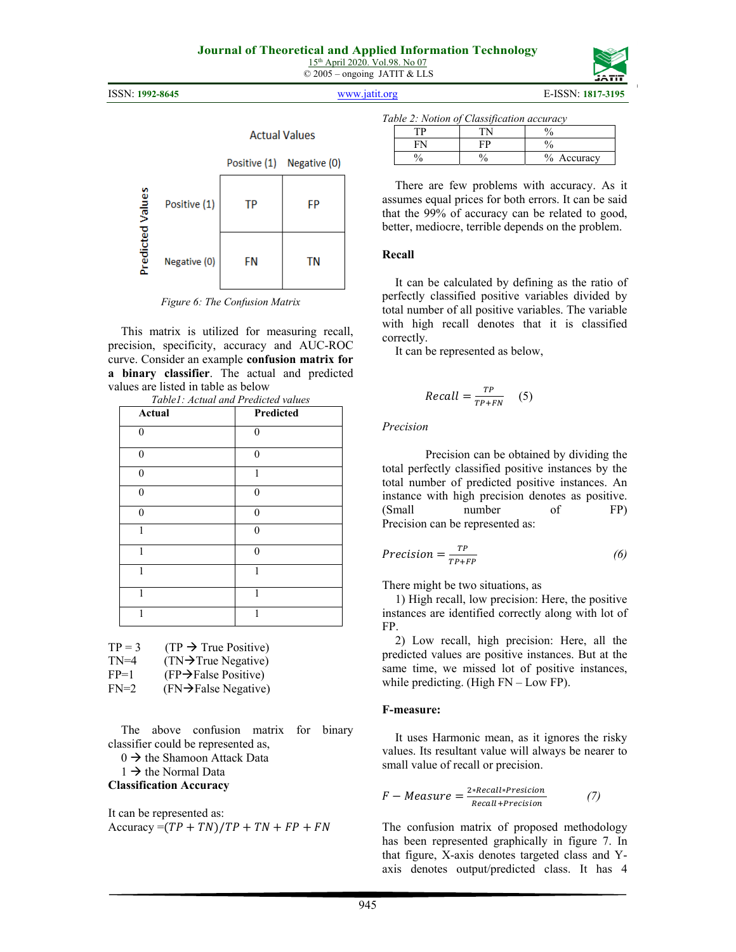

ISSN: **1992-8645** www.jatit.org E-ISSN: **1817-3195**



|                         |              | <b>Actual Values</b> |              |  |
|-------------------------|--------------|----------------------|--------------|--|
|                         |              | Positive (1)         | Negative (0) |  |
| <b>Predicted Values</b> | Positive (1) | TP                   | FP           |  |
|                         | Negative (0) | FN                   | TN           |  |

*Figure 6: The Confusion Matrix* 

This matrix is utilized for measuring recall, precision, specificity, accuracy and AUC-ROC curve. Consider an example **confusion matrix for a binary classifier**. The actual and predicted values are listed in table as below

| Actual   | Predicted |
|----------|-----------|
| $\theta$ | $\Omega$  |
| n        | 0         |
| 0        | 1         |
| 0        | $\Omega$  |
| $\theta$ | $\theta$  |
|          | $\Omega$  |
| 1        | $\theta$  |
|          |           |
|          |           |
|          |           |

| <b>A A A</b>                        | $\mathbf{D}$ and $\mathbf{D}$ |
|-------------------------------------|-------------------------------|
| Table1: Actual and Predicted values |                               |
|                                     |                               |

| $TP = 3$ | $(TP \rightarrow True Positive)$ |
|----------|----------------------------------|
| $TN=4$   | $(TN\rightarrow)$ True Negative) |

| $FP=1$ | $(FP \rightarrow False Positive)$ |  |
|--------|-----------------------------------|--|

 $FN=2$  (FN $\rightarrow$ False Negative)

The above confusion matrix for binary classifier could be represented as,

 $0 \rightarrow$  the Shamoon Attack Data

 $1 \rightarrow$  the Normal Data

## **Classification Accuracy**

It can be represented as: Accuracy =  $(TP + TN)/TP + TN + FP + FN$ 

|  |  | Table 2: Notion of Classification accuracy |  |
|--|--|--------------------------------------------|--|
|  |  |                                            |  |

|  | $\frac{0}{6}$<br>Accuracy |
|--|---------------------------|

There are few problems with accuracy. As it assumes equal prices for both errors. It can be said that the 99% of accuracy can be related to good, better, mediocre, terrible depends on the problem.

## **Recall**

It can be calculated by defining as the ratio of perfectly classified positive variables divided by total number of all positive variables. The variable with high recall denotes that it is classified correctly.

It can be represented as below,

$$
Recall = \frac{TP}{TP + FN} \quad (5)
$$

## *Precision*

Precision can be obtained by dividing the total perfectly classified positive instances by the total number of predicted positive instances. An instance with high precision denotes as positive. (Small number of FP) Precision can be represented as:

$$
Precision = \frac{TP}{TP + FP}
$$
 (6)

There might be two situations, as

1) High recall, low precision: Here, the positive instances are identified correctly along with lot of FP.

2) Low recall, high precision: Here, all the predicted values are positive instances. But at the same time, we missed lot of positive instances, while predicting. (High FN – Low FP).

## **F-measure:**

It uses Harmonic mean, as it ignores the risky values. Its resultant value will always be nearer to small value of recall or precision.

$$
F-Measure = \frac{2*Recall*Precision}{Recall+Precision}
$$
 (7)

The confusion matrix of proposed methodology has been represented graphically in figure 7. In that figure, X-axis denotes targeted class and Yaxis denotes output/predicted class. It has 4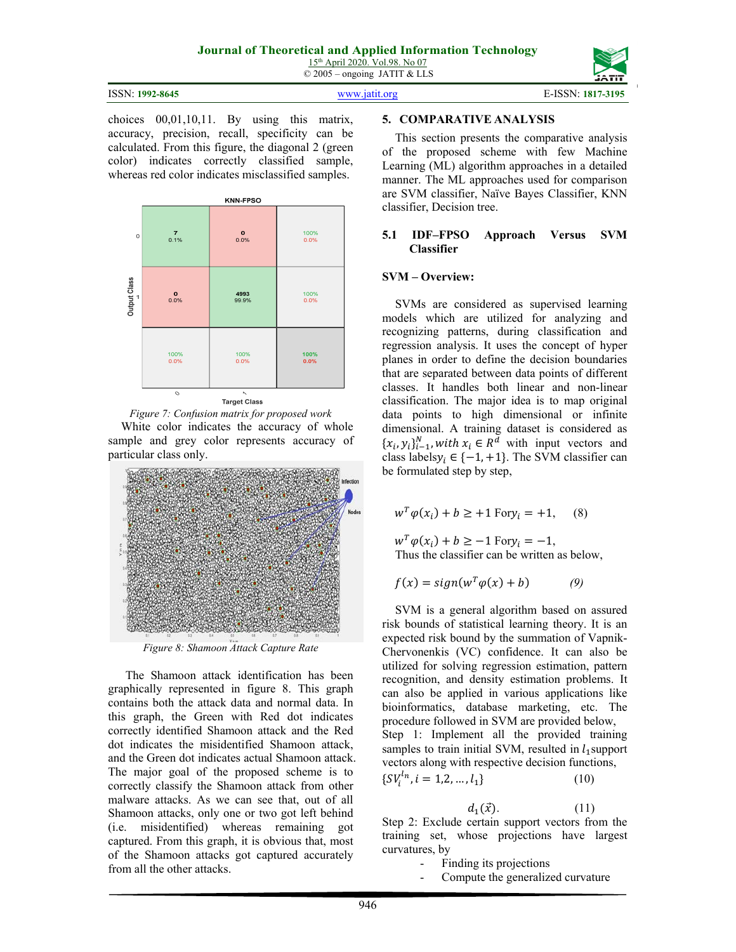| ISSN: 1992-8645 | www 1911 oro | E-ISSN: 1817-3195 |
|-----------------|--------------|-------------------|

choices 00,01,10,11. By using this matrix, accuracy, precision, recall, specificity can be calculated. From this figure, the diagonal 2 (green color) indicates correctly classified sample, whereas red color indicates misclassified samples.







*Figure 8: Shamoon Attack Capture Rate* 

The Shamoon attack identification has been graphically represented in figure 8. This graph contains both the attack data and normal data. In this graph, the Green with Red dot indicates correctly identified Shamoon attack and the Red dot indicates the misidentified Shamoon attack, and the Green dot indicates actual Shamoon attack. The major goal of the proposed scheme is to correctly classify the Shamoon attack from other malware attacks. As we can see that, out of all Shamoon attacks, only one or two got left behind (i.e. misidentified) whereas remaining got captured. From this graph, it is obvious that, most of the Shamoon attacks got captured accurately from all the other attacks.

## **5. COMPARATIVE ANALYSIS**

This section presents the comparative analysis of the proposed scheme with few Machine Learning (ML) algorithm approaches in a detailed manner. The ML approaches used for comparison are SVM classifier, Naïve Bayes Classifier, KNN classifier, Decision tree.

## **5.1 IDF–FPSO Approach Versus SVM Classifier**

## **SVM – Overview:**

SVMs are considered as supervised learning models which are utilized for analyzing and recognizing patterns, during classification and regression analysis. It uses the concept of hyper planes in order to define the decision boundaries that are separated between data points of different classes. It handles both linear and non-linear classification. The major idea is to map original data points to high dimensional or infinite dimensional. A training dataset is considered as  $\{x_i, y_i\}_{i=1}^N$ , with  $x_i \in R^d$  with input vectors and class labels  $y_i \in \{-1, +1\}$ . The SVM classifier can be formulated step by step,

$$
w^T \varphi(x_i) + b \ge +1 \text{ For } y_i = +1, \quad (8)
$$

 $w^T \varphi(x_i) + b \ge -1$  For  $y_i = -1$ , Thus the classifier can be written as below,

$$
f(x) = sign(w^T \varphi(x) + b)
$$
 (9)

SVM is a general algorithm based on assured risk bounds of statistical learning theory. It is an expected risk bound by the summation of Vapnik-Chervonenkis (VC) confidence. It can also be utilized for solving regression estimation, pattern recognition, and density estimation problems. It can also be applied in various applications like bioinformatics, database marketing, etc. The procedure followed in SVM are provided below, Step 1: Implement all the provided training samples to train initial SVM, resulted in  $l_1$  support vectors along with respective decision functions, ሼ

$$
SV_i^{l_n}, i = 1, 2, \dots, l_1\}
$$
 (10)

$$
d_1(\vec{x}).\tag{11}
$$

Step 2: Exclude certain support vectors from the training set, whose projections have largest curvatures, by

- Finding its projections
- Compute the generalized curvature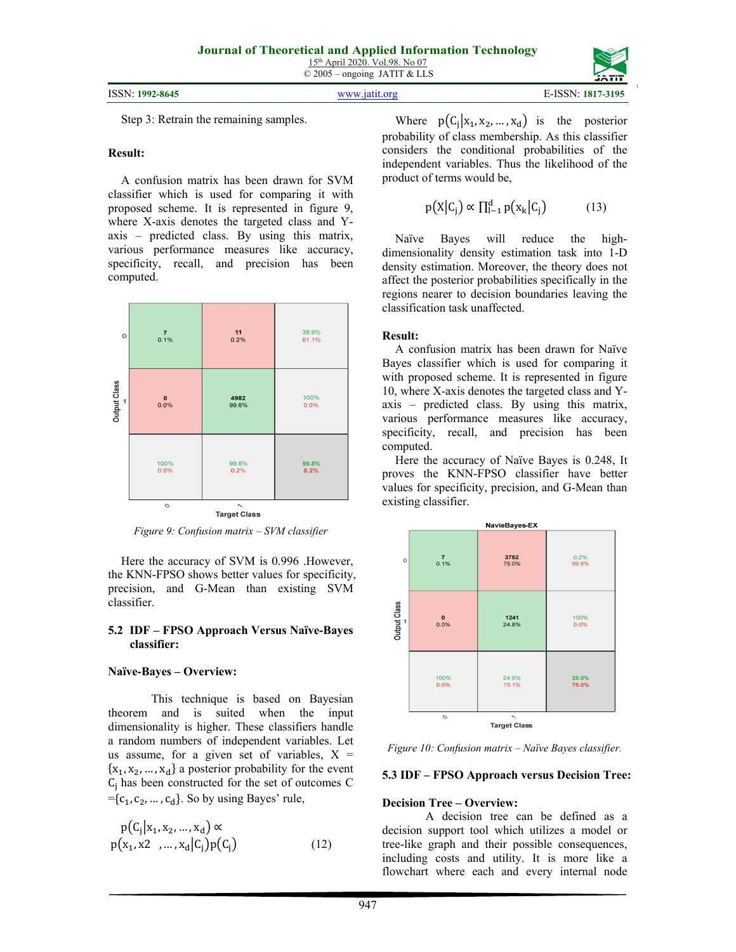Step 3: Retrain the remaining samples.

## **Result:**

A confusion matrix has been drawn for SVM classifier which is used for comparing it with proposed scheme. It is represented in figure 9, where X-axis denotes the targeted class and Yaxis – predicted class. By using this matrix, various performance measures like accuracy, specificity, recall, and precision has been computed.



*Figure 9: Confusion matrix – SVM classifier* 

Here the accuracy of SVM is 0.996 .However, the KNN-FPSO shows better values for specificity, precision, and G-Mean than existing SVM classifier.

## **5.2 IDF – FPSO Approach Versus Naïve-Bayes classifier:**

## **Naïve-Bayes – Overview:**

 This technique is based on Bayesian theorem and is suited when the input dimensionality is higher. These classifiers handle a random numbers of independent variables. Let us assume, for a given set of variables,  $X =$  ${x_1, x_2, ..., x_d}$  a posterior probability for the event  $C_i$  has been constructed for the set of outcomes C  $=\{c_1, c_2, ..., c_d\}$ . So by using Bayes' rule,

$$
p(C_j | x_1, x_2, ..., x_d) \propto
$$
  
 
$$
p(x_1, x_2, ..., x_d | C_j) p(C_j)
$$
 (12)

Where  $p(C_1|x_1, x_2, ..., x_d)$  is the posterior probability of class membership. As this classifier considers the conditional probabilities of the independent variables. Thus the likelihood of the product of terms would be,

$$
p(X|C_j) \propto \prod_{i=1}^{d} p(x_k|C_j)
$$
 (13)

Naïve Bayes will reduce the highdimensionality density estimation task into 1-D density estimation. Moreover, the theory does not affect the posterior probabilities specifically in the regions nearer to decision boundaries leaving the classification task unaffected.

## **Result:**

A confusion matrix has been drawn for Naïve Bayes classifier which is used for comparing it with proposed scheme. It is represented in figure 10, where X-axis denotes the targeted class and Yaxis – predicted class. By using this matrix, various performance measures like accuracy, specificity, recall, and precision has been computed.

Here the accuracy of Naïve Bayes is 0.248, It proves the KNN-FPSO classifier have better values for specificity, precision, and G-Mean than existing classifier.



*Figure 10: Confusion matrix – Naïve Bayes classifier.* 

## **5.3 IDF – FPSO Approach versus Decision Tree:**

## **Decision Tree – Overview:**

A decision tree can be defined as a decision support tool which utilizes a model or tree-like graph and their possible consequences, including costs and utility. It is more like a flowchart where each and every internal node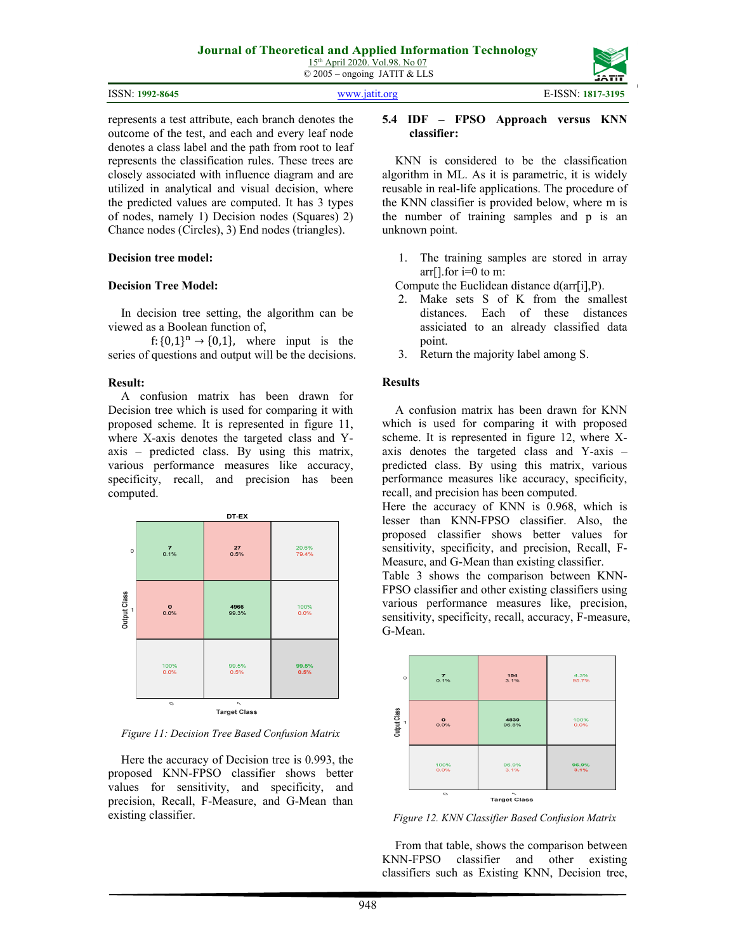| ISSN: 1992-8645 | WWW.18f1f.org | E-ISSN: 1817-3195 |
|-----------------|---------------|-------------------|

represents a test attribute, each branch denotes the outcome of the test, and each and every leaf node denotes a class label and the path from root to leaf represents the classification rules. These trees are closely associated with influence diagram and are utilized in analytical and visual decision, where the predicted values are computed. It has 3 types of nodes, namely 1) Decision nodes (Squares) 2) Chance nodes (Circles), 3) End nodes (triangles).

## **Decision tree model:**

## **Decision Tree Model:**

In decision tree setting, the algorithm can be viewed as a Boolean function of,

f:  $\{0,1\}^n \rightarrow \{0,1\}$ , where input is the series of questions and output will be the decisions.

## **Result:**

A confusion matrix has been drawn for Decision tree which is used for comparing it with proposed scheme. It is represented in figure 11, where X-axis denotes the targeted class and Yaxis – predicted class. By using this matrix, various performance measures like accuracy, specificity, recall, and precision has been computed.



*Figure 11: Decision Tree Based Confusion Matrix* 

Here the accuracy of Decision tree is 0.993, the proposed KNN-FPSO classifier shows better values for sensitivity, and specificity, and precision, Recall, F-Measure, and G-Mean than existing classifier.

## **5.4 IDF – FPSO Approach versus KNN classifier:**

KNN is considered to be the classification algorithm in ML. As it is parametric, it is widely reusable in real-life applications. The procedure of the KNN classifier is provided below, where m is the number of training samples and p is an unknown point.

1. The training samples are stored in array arr[].for  $i=0$  to m:

Compute the Euclidean distance d(arr[i],P).

- 2. Make sets S of K from the smallest distances. Each of these distances assiciated to an already classified data point.
- 3. Return the majority label among S.

## **Results**

A confusion matrix has been drawn for KNN which is used for comparing it with proposed scheme. It is represented in figure 12, where Xaxis denotes the targeted class and Y-axis – predicted class. By using this matrix, various performance measures like accuracy, specificity, recall, and precision has been computed.

Here the accuracy of KNN is 0.968, which is lesser than KNN-FPSO classifier. Also, the proposed classifier shows better values for sensitivity, specificity, and precision, Recall, F-Measure, and G-Mean than existing classifier.

Table 3 shows the comparison between KNN-FPSO classifier and other existing classifiers using various performance measures like, precision, sensitivity, specificity, recall, accuracy, F-measure, G-Mean.



*Figure 12. KNN Classifier Based Confusion Matrix* 

From that table, shows the comparison between KNN-FPSO classifier and other existing classifiers such as Existing KNN, Decision tree,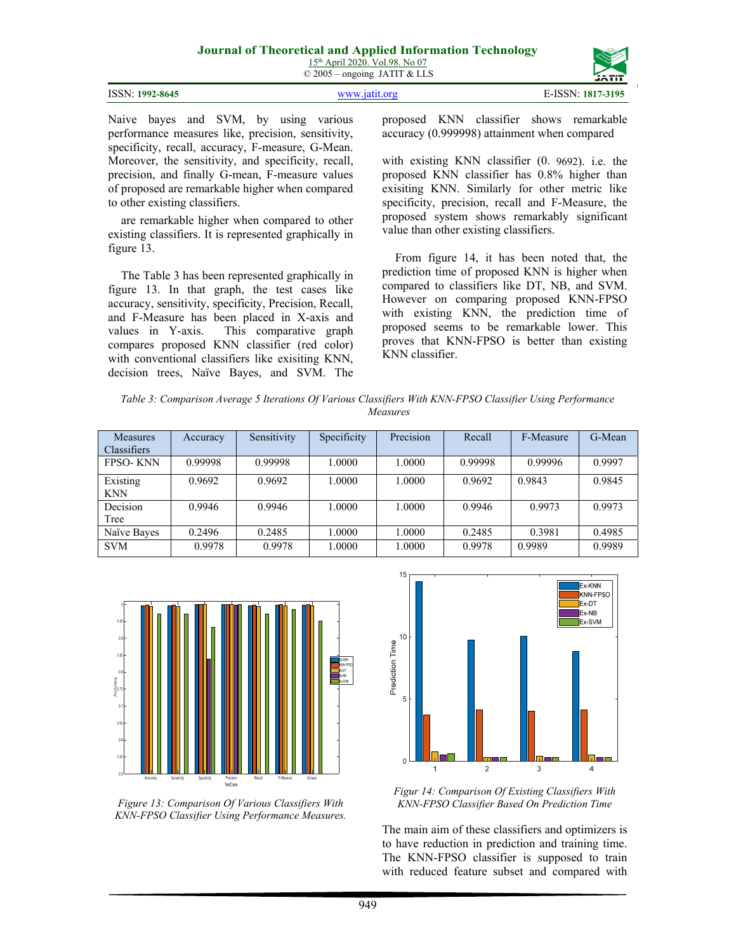|                 |               | --------          |
|-----------------|---------------|-------------------|
|                 |               |                   |
| ISSN: 1992-8645 | www jatit org | E-ISSN: 1817-3195 |

Naive bayes and SVM, by using various performance measures like, precision, sensitivity, specificity, recall, accuracy, F-measure, G-Mean. Moreover, the sensitivity, and specificity, recall, precision, and finally G-mean, F-measure values of proposed are remarkable higher when compared to other existing classifiers.

are remarkable higher when compared to other existing classifiers. It is represented graphically in figure 13.

The Table 3 has been represented graphically in figure 13. In that graph, the test cases like accuracy, sensitivity, specificity, Precision, Recall, and F-Measure has been placed in X-axis and values in Y-axis. This comparative graph compares proposed KNN classifier (red color) with conventional classifiers like exisiting KNN, decision trees, Naïve Bayes, and SVM. The

proposed KNN classifier shows remarkable accuracy (0.999998) attainment when compared

with existing KNN classifier (0. 9692). i.e. the proposed KNN classifier has 0.8% higher than exisiting KNN. Similarly for other metric like specificity, precision, recall and F-Measure, the proposed system shows remarkably significant value than other existing classifiers.

From figure 14, it has been noted that, the prediction time of proposed KNN is higher when compared to classifiers like DT, NB, and SVM. However on comparing proposed KNN-FPSO with existing KNN, the prediction time of proposed seems to be remarkable lower. This proves that KNN-FPSO is better than existing KNN classifier.

*Table 3: Comparison Average 5 Iterations Of Various Classifiers With KNN-FPSO Classifier Using Performance Measures*

| <b>Measures</b><br><b>Classifiers</b> | Accuracy | Sensitivity | Specificity | Precision | Recall  | F-Measure | G-Mean |
|---------------------------------------|----------|-------------|-------------|-----------|---------|-----------|--------|
| <b>FPSO-KNN</b>                       | 0.99998  | 0.99998     | 1.0000      | 1.0000    | 0.99998 | 0.99996   | 0.9997 |
| Existing<br><b>KNN</b>                | 0.9692   | 0.9692      | 1.0000      | 1.0000    | 0.9692  | 0.9843    | 0.9845 |
| Decision<br>Tree                      | 0.9946   | 0.9946      | 1.0000      | 1.0000    | 0.9946  | 0.9973    | 0.9973 |
| Naïve Bayes                           | 0.2496   | 0.2485      | 1.0000      | 1.0000    | 0.2485  | 0.3981    | 0.4985 |
| <b>SVM</b>                            | 0.9978   | 0.9978      | 1.0000      | 1.0000    | 0.9978  | 0.9989    | 0.9989 |



*Figure 13: Comparison Of Various Classifiers With KNN-FPSO Classifier Using Performance Measures.*



*Figur 14: Comparison Of Existing Classifiers With KNN-FPSO Classifier Based On Prediction Time* 

The main aim of these classifiers and optimizers is to have reduction in prediction and training time. The KNN-FPSO classifier is supposed to train with reduced feature subset and compared with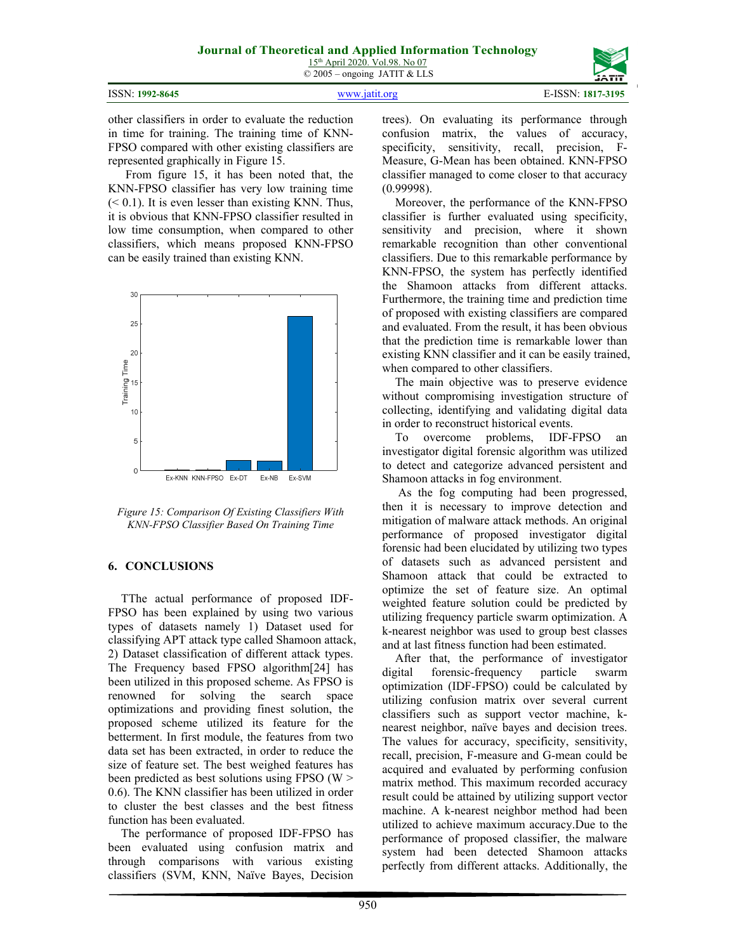| <b>ISSN: 1992-8645</b> |
|------------------------|
|------------------------|



ISSN: **1992-8645** www.jatit.org E-ISSN: **1817-3195**

other classifiers in order to evaluate the reduction in time for training. The training time of KNN-FPSO compared with other existing classifiers are represented graphically in Figure 15.

From figure 15, it has been noted that, the KNN-FPSO classifier has very low training time  $( $0.1$ ). It is even lesser than existing KNN. Thus,$ it is obvious that KNN-FPSO classifier resulted in low time consumption, when compared to other classifiers, which means proposed KNN-FPSO can be easily trained than existing KNN.



*Figure 15: Comparison Of Existing Classifiers With KNN-FPSO Classifier Based On Training Time* 

## **6. CONCLUSIONS**

TThe actual performance of proposed IDF-FPSO has been explained by using two various types of datasets namely 1) Dataset used for classifying APT attack type called Shamoon attack, 2) Dataset classification of different attack types. The Frequency based FPSO algorithm[24] has been utilized in this proposed scheme. As FPSO is renowned for solving the search space optimizations and providing finest solution, the proposed scheme utilized its feature for the betterment. In first module, the features from two data set has been extracted, in order to reduce the size of feature set. The best weighed features has been predicted as best solutions using FPSO (W > 0.6). The KNN classifier has been utilized in order to cluster the best classes and the best fitness function has been evaluated.

The performance of proposed IDF-FPSO has been evaluated using confusion matrix and through comparisons with various existing classifiers (SVM, KNN, Naïve Bayes, Decision trees). On evaluating its performance through confusion matrix, the values of accuracy, specificity, sensitivity, recall, precision, F-Measure, G-Mean has been obtained. KNN-FPSO classifier managed to come closer to that accuracy (0.99998).

Moreover, the performance of the KNN-FPSO classifier is further evaluated using specificity, sensitivity and precision, where it shown remarkable recognition than other conventional classifiers. Due to this remarkable performance by KNN-FPSO, the system has perfectly identified the Shamoon attacks from different attacks. Furthermore, the training time and prediction time of proposed with existing classifiers are compared and evaluated. From the result, it has been obvious that the prediction time is remarkable lower than existing KNN classifier and it can be easily trained, when compared to other classifiers.

The main objective was to preserve evidence without compromising investigation structure of collecting, identifying and validating digital data in order to reconstruct historical events.

To overcome problems, IDF-FPSO an investigator digital forensic algorithm was utilized to detect and categorize advanced persistent and Shamoon attacks in fog environment.

 As the fog computing had been progressed, then it is necessary to improve detection and mitigation of malware attack methods. An original performance of proposed investigator digital forensic had been elucidated by utilizing two types of datasets such as advanced persistent and Shamoon attack that could be extracted to optimize the set of feature size. An optimal weighted feature solution could be predicted by utilizing frequency particle swarm optimization. A k-nearest neighbor was used to group best classes and at last fitness function had been estimated.

After that, the performance of investigator digital forensic-frequency particle swarm optimization (IDF-FPSO) could be calculated by utilizing confusion matrix over several current classifiers such as support vector machine, knearest neighbor, naïve bayes and decision trees. The values for accuracy, specificity, sensitivity, recall, precision, F-measure and G-mean could be acquired and evaluated by performing confusion matrix method. This maximum recorded accuracy result could be attained by utilizing support vector machine. A k-nearest neighbor method had been utilized to achieve maximum accuracy.Due to the performance of proposed classifier, the malware system had been detected Shamoon attacks perfectly from different attacks. Additionally, the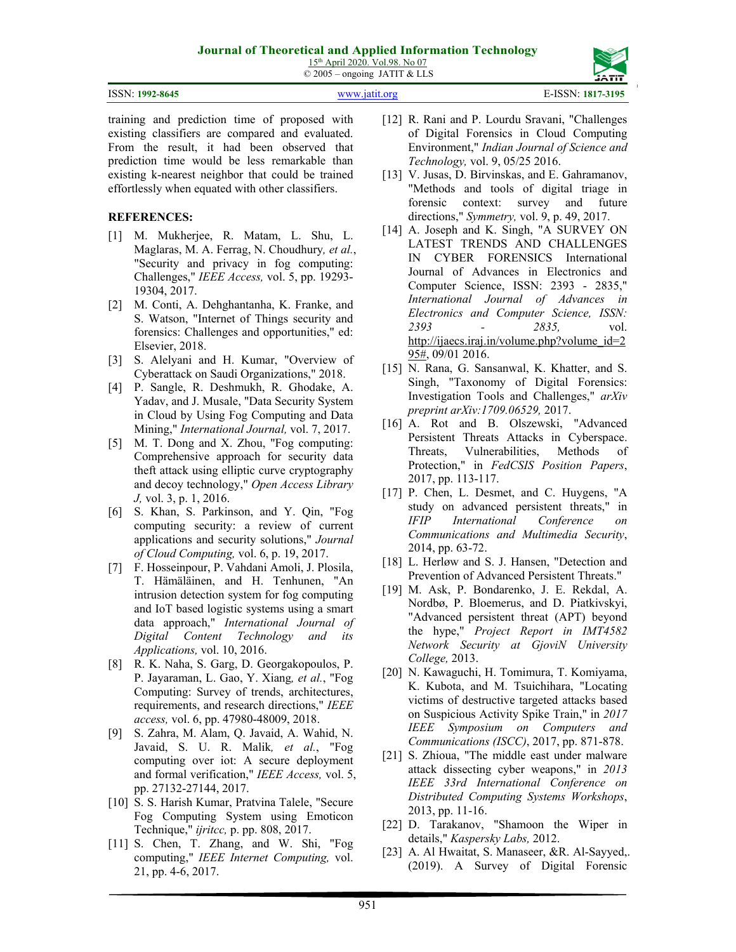## **Journal of Theoretical and Applied Information Technology**

15th April 2020. Vol.98. No 07 © 2005 – ongoing JATIT & LLS

| ISSN: 1992-8645 | WWW.1811L.0rg | E-ISSN: 1817-3195 |
|-----------------|---------------|-------------------|

training and prediction time of proposed with existing classifiers are compared and evaluated. From the result, it had been observed that prediction time would be less remarkable than existing k-nearest neighbor that could be trained effortlessly when equated with other classifiers.

## **REFERENCES:**

- [1] M. Mukherjee, R. Matam, L. Shu, L. Maglaras, M. A. Ferrag, N. Choudhury*, et al.*, "Security and privacy in fog computing: Challenges," *IEEE Access,* vol. 5, pp. 19293- 19304, 2017.
- [2] M. Conti, A. Dehghantanha, K. Franke, and S. Watson, "Internet of Things security and forensics: Challenges and opportunities," ed: Elsevier, 2018.
- [3] S. Alelyani and H. Kumar, "Overview of Cyberattack on Saudi Organizations," 2018.
- [4] P. Sangle, R. Deshmukh, R. Ghodake, A. Yadav, and J. Musale, "Data Security System in Cloud by Using Fog Computing and Data Mining," *International Journal,* vol. 7, 2017.
- [5] M. T. Dong and X. Zhou, "Fog computing: Comprehensive approach for security data theft attack using elliptic curve cryptography and decoy technology," *Open Access Library J,* vol. 3, p. 1, 2016.
- [6] S. Khan, S. Parkinson, and Y. Qin, "Fog computing security: a review of current applications and security solutions," *Journal of Cloud Computing,* vol. 6, p. 19, 2017.
- [7] F. Hosseinpour, P. Vahdani Amoli, J. Plosila, T. Hämäläinen, and H. Tenhunen, "An intrusion detection system for fog computing and IoT based logistic systems using a smart data approach," *International Journal of Digital Content Technology and its Applications,* vol. 10, 2016.
- [8] R. K. Naha, S. Garg, D. Georgakopoulos, P. P. Jayaraman, L. Gao, Y. Xiang*, et al.*, "Fog Computing: Survey of trends, architectures, requirements, and research directions," *IEEE access,* vol. 6, pp. 47980-48009, 2018.
- [9] S. Zahra, M. Alam, Q. Javaid, A. Wahid, N. Javaid, S. U. R. Malik*, et al.*, "Fog computing over iot: A secure deployment and formal verification," *IEEE Access,* vol. 5, pp. 27132-27144, 2017.
- [10] S. S. Harish Kumar, Pratvina Talele, "Secure Fog Computing System using Emoticon Technique," *ijritcc,* p. pp. 808, 2017.
- [11] S. Chen, T. Zhang, and W. Shi, "Fog computing," *IEEE Internet Computing,* vol. 21, pp. 4-6, 2017.
- [12] R. Rani and P. Lourdu Sravani, "Challenges of Digital Forensics in Cloud Computing Environment," *Indian Journal of Science and Technology,* vol. 9, 05/25 2016.
- [13] V. Jusas, D. Birvinskas, and E. Gahramanov, "Methods and tools of digital triage in forensic context: survey and future directions," *Symmetry,* vol. 9, p. 49, 2017.
- [14] A. Joseph and K. Singh, "A SURVEY ON LATEST TRENDS AND CHALLENGES IN CYBER FORENSICS International Journal of Advances in Electronics and Computer Science, ISSN: 2393 - 2835," *International Journal of Advances in Electronics and Computer Science, ISSN: 2393 - 2835,* vol. http://ijaecs.iraj.in/volume.php?volume\_id=2 95#, 09/01 2016.
- [15] N. Rana, G. Sansanwal, K. Khatter, and S. Singh, "Taxonomy of Digital Forensics: Investigation Tools and Challenges," *arXiv preprint arXiv:1709.06529,* 2017.
- [16] A. Rot and B. Olszewski, "Advanced Persistent Threats Attacks in Cyberspace. Threats, Vulnerabilities, Methods of Protection," in *FedCSIS Position Papers*, 2017, pp. 113-117.
- [17] P. Chen, L. Desmet, and C. Huygens, "A study on advanced persistent threats," in *IFIP International Conference on Communications and Multimedia Security*, 2014, pp. 63-72.
- [18] L. Herløw and S. J. Hansen, "Detection and Prevention of Advanced Persistent Threats."
- [19] M. Ask, P. Bondarenko, J. E. Rekdal, A. Nordbø, P. Bloemerus, and D. Piatkivskyi, "Advanced persistent threat (APT) beyond the hype," *Project Report in IMT4582 Network Security at GjoviN University College,* 2013.
- [20] N. Kawaguchi, H. Tomimura, T. Komiyama, K. Kubota, and M. Tsuichihara, "Locating victims of destructive targeted attacks based on Suspicious Activity Spike Train," in *2017 IEEE Symposium on Computers and Communications (ISCC)*, 2017, pp. 871-878.
- [21] S. Zhioua, "The middle east under malware attack dissecting cyber weapons," in *2013 IEEE 33rd International Conference on Distributed Computing Systems Workshops*, 2013, pp. 11-16.
- [22] D. Tarakanov, "Shamoon the Wiper in details," *Kaspersky Labs,* 2012.
- [23] A. Al Hwaitat, S. Manaseer, &R. Al-Sayyed,. (2019). A Survey of Digital Forensic